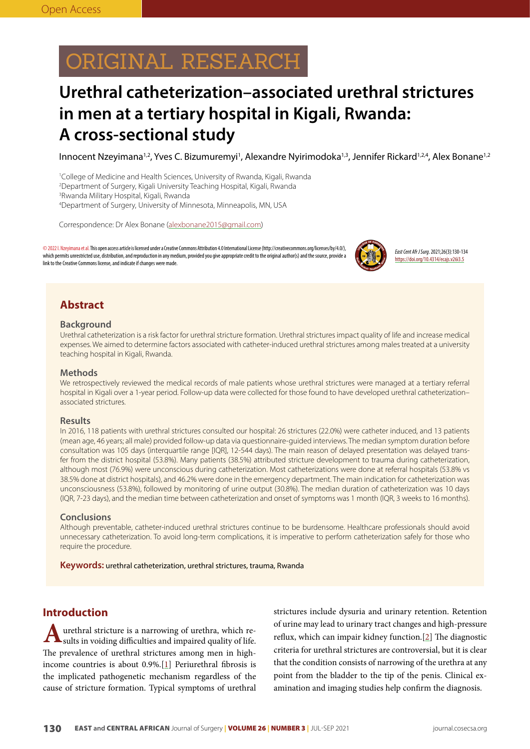# ORIGINAL RESEARCH

## **Urethral catheterization–associated urethral strictures in men at a tertiary hospital in Kigali, Rwanda: A cross-sectional study**

Innocent Nzeyimana1,2, Yves C. Bizumuremyi1, Alexandre Nyirimodoka1,3, Jennifer Rickard1,2,4, Alex Bonane1,2

1 College of Medicine and Health Sciences, University of Rwanda, Kigali, Rwanda

2 Department of Surgery, Kigali University Teaching Hospital, Kigali, Rwanda

3 Rwanda Military Hospital, Kigali, Rwanda

4 Department of Surgery, University of Minnesota, Minneapolis, MN, USA

Correspondence: Dr Alex Bonane (alexbonane2015@gmail.com)

©2022 I. Nzeyimana et al. This open access article is licensed under a Creative Commons Attribution 4.0 International License (http://creativecommons.org/licenses/by/4.0/), which permits unrestricted use, distribution, and reproduction in any medium, provided you give appropriate credit to the original author(s) and the source, provide a link to the Creative Commons license, and indicate if changes were made.



*East Cent Afr J Surg*. 2021;26(3):130-134 https://doi.org/10.4314/ecajs.v26i3.5

## **Abstract**

#### **Background**

Urethral catheterization is a risk factor for urethral stricture formation. Urethral strictures impact quality of life and increase medical expenses. We aimed to determine factors associated with catheter-induced urethral strictures among males treated at a university teaching hospital in Kigali, Rwanda.

#### **Methods**

We retrospectively reviewed the medical records of male patients whose urethral strictures were managed at a tertiary referral hospital in Kigali over a 1-year period. Follow-up data were collected for those found to have developed urethral catheterization– associated strictures.

### **Results**

In 2016, 118 patients with urethral strictures consulted our hospital: 26 strictures (22.0%) were catheter induced, and 13 patients (mean age, 46 years; all male) provided follow-up data via questionnaire-guided interviews. The median symptom duration before consultation was 105 days (interquartile range [IQR], 12-544 days). The main reason of delayed presentation was delayed transfer from the district hospital (53.8%). Many patients (38.5%) attributed stricture development to trauma during catheterization, although most (76.9%) were unconscious during catheterization. Most catheterizations were done at referral hospitals (53.8% vs 38.5% done at district hospitals), and 46.2% were done in the emergency department. The main indication for catheterization was unconsciousness (53.8%), followed by monitoring of urine output (30.8%). The median duration of catheterization was 10 days (IQR, 7-23 days), and the median time between catheterization and onset of symptoms was 1 month (IQR, 3 weeks to 16 months).

#### **Conclusions**

Although preventable, catheter-induced urethral strictures continue to be burdensome. Healthcare professionals should avoid unnecessary catheterization. To avoid long-term complications, it is imperative to perform catheterization safely for those who require the procedure.

**Keywords:** urethral catheterization, urethral strictures, trauma, Rwanda

## **Introduction**

urethral stricture is a narrowing of urethra, which results in voiding difficulties and impaired quality of life. The prevalence of urethral strictures among men in highincome countries is about  $0.9\%$ . [[1](#page-3-0)] Periurethral fibrosis is the implicated pathogenetic mechanism regardless of the cause of stricture formation. Typical symptoms of urethral strictures include dysuria and urinary retention. Retention of urine may lead to urinary tract changes and high-pressure reflux, which can impair kidney function.[[2\]](#page-3-1) The diagnostic criteria for urethral strictures are controversial, but it is clear that the condition consists of narrowing of the urethra at any point from the bladder to the tip of the penis. Clinical examination and imaging studies help confirm the diagnosis.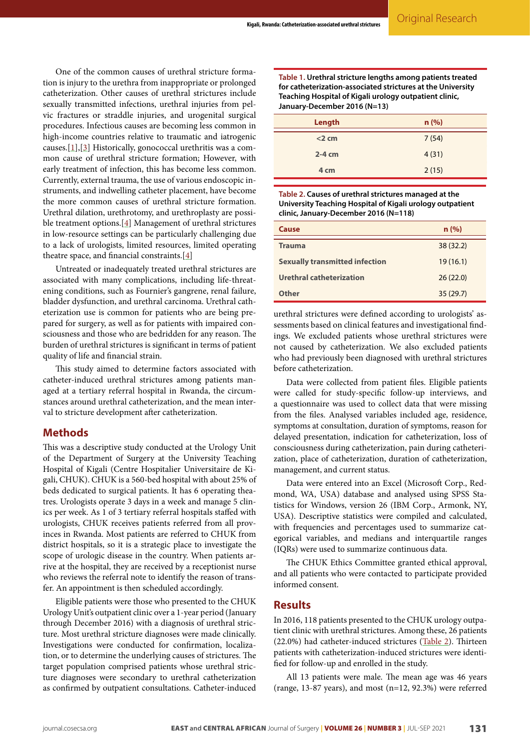$=$ 

One of the common causes of urethral stricture formation is injury to the urethra from inappropriate or prolonged catheterization. Other causes of urethral strictures include sexually transmitted infections, urethral injuries from pelvic fractures or straddle injuries, and urogenital surgical procedures. Infectious causes are becoming less common in high-income countries relative to traumatic and iatrogenic causes.[\[1](#page-3-0)],[\[3](#page-3-2)] Historically, gonococcal urethritis was a common cause of urethral stricture formation; However, with early treatment of infection, this has become less common. Currently, external trauma, the use of various endoscopic instruments, and indwelling catheter placement, have become the more common causes of urethral stricture formation. Urethral dilation, urethrotomy, and urethroplasty are possible treatment options.[[4](#page-3-3)] Management of urethral strictures in low-resource settings can be particularly challenging due to a lack of urologists, limited resources, limited operating theatre space, and financial constraints.[\[4](#page-3-3)]

Untreated or inadequately treated urethral strictures are associated with many complications, including life-threatening conditions, such as Fournier's gangrene, renal failure, bladder dysfunction, and urethral carcinoma. Urethral catheterization use is common for patients who are being prepared for surgery, as well as for patients with impaired consciousness and those who are bedridden for any reason. The burden of urethral strictures is significant in terms of patient quality of life and financial strain.

This study aimed to determine factors associated with catheter-induced urethral strictures among patients managed at a tertiary referral hospital in Rwanda, the circumstances around urethral catheterization, and the mean interval to stricture development after catheterization.

## **Methods**

This was a descriptive study conducted at the Urology Unit of the Department of Surgery at the University Teaching Hospital of Kigali (Centre Hospitalier Universitaire de Kigali, CHUK). CHUK is a 560-bed hospital with about 25% of beds dedicated to surgical patients. It has 6 operating theatres. Urologists operate 3 days in a week and manage 5 clinics per week. As 1 of 3 tertiary referral hospitals staffed with urologists, CHUK receives patients referred from all provinces in Rwanda. Most patients are referred to CHUK from district hospitals, so it is a strategic place to investigate the scope of urologic disease in the country. When patients arrive at the hospital, they are received by a receptionist nurse who reviews the referral note to identify the reason of transfer. An appointment is then scheduled accordingly.

Eligible patients were those who presented to the CHUK Urology Unit's outpatient clinic over a 1-year period (January through December 2016) with a diagnosis of urethral stricture. Most urethral stricture diagnoses were made clinically. Investigations were conducted for confirmation, localization, or to determine the underlying causes of strictures. The target population comprised patients whose urethral stricture diagnoses were secondary to urethral catheterization as confirmed by outpatient consultations. Catheter-induced

**Table 1. Urethral stricture lengths among patients treated for catheterization-associated strictures at the University Teaching Hospital of Kigali urology outpatient clinic, January-December 2016 (N=13)**

| Length   | n(%)  |
|----------|-------|
| $<$ 2 cm | 7(54) |
| $2-4$ cm | 4(31) |
| 4 cm     | 2(15) |
|          |       |

<span id="page-1-0"></span>**Table 2. Causes of urethral strictures managed at the University Teaching Hospital of Kigali urology outpatient clinic, January-December 2016 (N=118)**

| Cause                                 | n(%)     |
|---------------------------------------|----------|
| <b>Trauma</b>                         | 38(32.2) |
| <b>Sexually transmitted infection</b> | 19(16.1) |
| Urethral catheterization              | 26(22.0) |
| Other                                 | 35(29.7) |

urethral strictures were defined according to urologists' assessments based on clinical features and investigational findings. We excluded patients whose urethral strictures were not caused by catheterization. We also excluded patients who had previously been diagnosed with urethral strictures before catheterization.

Data were collected from patient files. Eligible patients were called for study-specific follow-up interviews, and a questionnaire was used to collect data that were missing from the files. Analysed variables included age, residence, symptoms at consultation, duration of symptoms, reason for delayed presentation, indication for catheterization, loss of consciousness during catheterization, pain during catheterization, place of catheterization, duration of catheterization, management, and current status.

Data were entered into an Excel (Microsoft Corp., Redmond, WA, USA) database and analysed using SPSS Statistics for Windows, version 26 (IBM Corp., Armonk, NY, USA). Descriptive statistics were compiled and calculated, with frequencies and percentages used to summarize categorical variables, and medians and interquartile ranges (IQRs) were used to summarize continuous data.

The CHUK Ethics Committee granted ethical approval, and all patients who were contacted to participate provided informed consent.

## **Results**

In 2016, 118 patients presented to the CHUK urology outpatient clinic with urethral strictures. Among these, 26 patients (22.0%) had catheter-induced strictures ([Table 2](#page-1-0)). Thirteen patients with catheterization-induced strictures were identified for follow-up and enrolled in the study.

All 13 patients were male. The mean age was 46 years (range, 13-87 years), and most (n=12, 92.3%) were referred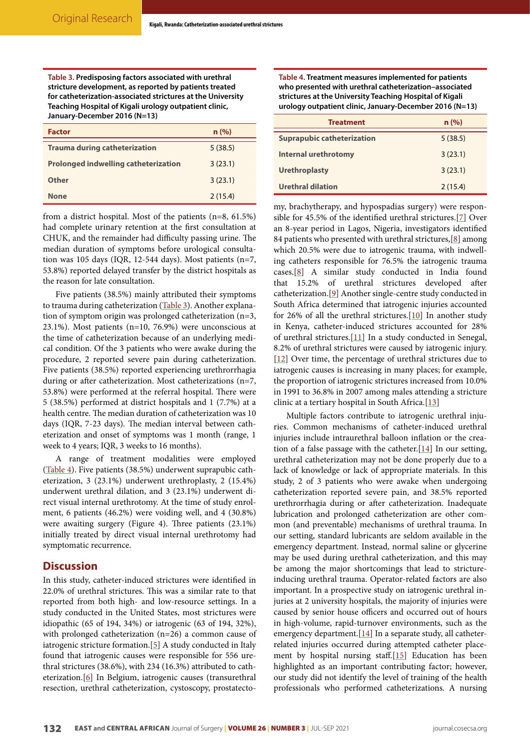<span id="page-2-0"></span>**Table 3. Predisposing factors associated with urethral stricture development, as reported by patients treated for catheterization-associated strictures at the University Teaching Hospital of Kigali urology outpatient clinic, January-December 2016 (N=13)**

| <b>Factor</b>                               | n (%)   |
|---------------------------------------------|---------|
| <b>Trauma during catheterization</b>        | 5(38.5) |
| <b>Prolonged indwelling catheterization</b> | 3(23.1) |
| Other                                       | 3(23.1) |
| <b>None</b>                                 | 2(15.4) |

from a district hospital. Most of the patients (n=8, 61.5%) had complete urinary retention at the first consultation at CHUK, and the remainder had difficulty passing urine. The median duration of symptoms before urological consultation was 105 days (IQR, 12-544 days). Most patients (n=7, 53.8%) reported delayed transfer by the district hospitals as the reason for late consultation.

Five patients (38.5%) mainly attributed their symptoms to trauma during catheterization [\(Table 3](#page-2-0)). Another explanation of symptom origin was prolonged catheterization (n=3, 23.1%). Most patients (n=10, 76.9%) were unconscious at the time of catheterization because of an underlying medical condition. Of the 3 patients who were awake during the procedure, 2 reported severe pain during catheterization. Five patients (38.5%) reported experiencing urethrorrhagia during or after catheterization. Most catheterizations (n=7, 53.8%) were performed at the referral hospital. There were 5 (38.5%) performed at district hospitals and 1 (7.7%) at a health centre. The median duration of catheterization was 10 days (IQR, 7-23 days). The median interval between catheterization and onset of symptoms was 1 month (range, 1 week to 4 years; IQR, 3 weeks to 16 months).

A range of treatment modalities were employed ([Table 4](#page-2-1)). Five patients (38.5%) underwent suprapubic catheterization, 3 (23.1%) underwent urethroplasty, 2 (15.4%) underwent urethral dilation, and 3 (23.1%) underwent direct visual internal urethrotomy. At the time of study enrolment, 6 patients (46.2%) were voiding well, and 4 (30.8%) were awaiting surgery (Figure 4). Three patients (23.1%) initially treated by direct visual internal urethrotomy had symptomatic recurrence.

## **Discussion**

In this study, catheter-induced strictures were identified in 22.0% of urethral strictures. This was a similar rate to that reported from both high- and low-resource settings. In a study conducted in the United States, most strictures were idiopathic (65 of 194, 34%) or iatrogenic (63 of 194, 32%), with prolonged catheterization (n=26) a common cause of iatrogenic stricture formation.[\[5\]](#page-3-4) A study conducted in Italy found that iatrogenic causes were responsible for 556 urethral strictures (38.6%), with 234 (16.3%) attributed to catheterization.[\[6](#page-3-5)] In Belgium, iatrogenic causes (transurethral resection, urethral catheterization, cystoscopy, prostatecto-

<span id="page-2-1"></span>**Table 4. Treatment measures implemented for patients who presented with urethral catheterization–associated strictures at the University Teaching Hospital of Kigali urology outpatient clinic, January-December 2016 (N=13)**

| <b>Treatment</b>                  | n(%)    |
|-----------------------------------|---------|
| <b>Suprapubic catheterization</b> | 5(38.5) |
| <b>Internal urethrotomy</b>       | 3(23.1) |
| <b>Urethroplasty</b>              | 3(23.1) |
| Urethral dilation                 | 2(15.4) |

my, brachytherapy, and hypospadias surgery) were responsible for 45.5% of the identified urethral strictures.[[7\]](#page-3-6) Over an 8-year period in Lagos, Nigeria, investigators identified 84 patients who presented with urethral strictures,[\[8](#page-3-7)] among which 20.5% were due to iatrogenic trauma, with indwelling catheters responsible for 76.5% the iatrogenic trauma cases.[[8](#page-3-7)] A similar study conducted in India found that 15.2% of urethral strictures developed after catheterization.[[9\]](#page-3-8) Another single-centre study conducted in South Africa determined that iatrogenic injuries accounted for 26% of all the urethral strictures.[\[10\]](#page-3-9) In another study in Kenya, catheter-induced strictures accounted for 28% of urethral strictures.[\[11\]](#page-3-10) In a study conducted in Senegal, 8.2% of urethral strictures were caused by iatrogenic injury. [\[12\]](#page-3-11) Over time, the percentage of urethral strictures due to iatrogenic causes is increasing in many places; for example, the proportion of iatrogenic strictures increased from 10.0% in 1991 to 36.8% in 2007 among males attending a stricture clinic at a tertiary hospital in South Africa.[[13](#page-3-12)]

Multiple factors contribute to iatrogenic urethral injuries. Common mechanisms of catheter-induced urethral injuries include intraurethral balloon inflation or the creation of a false passage with the catheter.  $[14]$  In our setting, urethral catheterization may not be done properly due to a lack of knowledge or lack of appropriate materials. In this study, 2 of 3 patients who were awake when undergoing catheterization reported severe pain, and 38.5% reported urethrorrhagia during or after catheterization. Inadequate lubrication and prolonged catheterization are other common (and preventable) mechanisms of urethral trauma. In our setting, standard lubricants are seldom available in the emergency department. Instead, normal saline or glycerine may be used during urethral catheterization, and this may be among the major shortcomings that lead to strictureinducing urethral trauma. Operator-related factors are also important. In a prospective study on iatrogenic urethral injuries at 2 university hospitals, the majority of injuries were caused by senior house officers and occurred out of hours in high-volume, rapid-turnover environments, such as the emergency department.<sup>[[14\]](#page-3-13)</sup> In a separate study, all catheterrelated injuries occurred during attempted catheter placement by hospital nursing staff.[\[15\]](#page-4-0) Education has been highlighted as an important contributing factor; however, our study did not identify the level of training of the health professionals who performed catheterizations. A nursing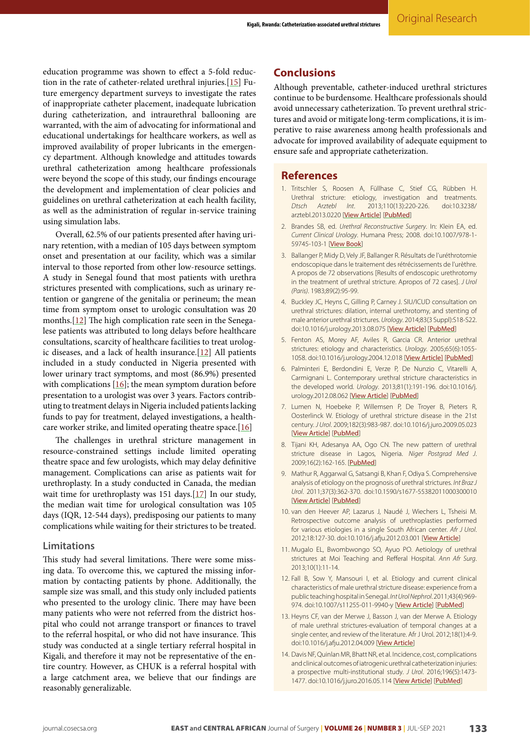education programme was shown to effect a 5-fold reduction in the rate of catheter-related urethral injuries.[[15\]](#page-4-0) Future emergency department surveys to investigate the rates of inappropriate catheter placement, inadequate lubrication during catheterization, and intraurethral ballooning are warranted, with the aim of advocating for informational and educational undertakings for healthcare workers, as well as improved availability of proper lubricants in the emergency department. Although knowledge and attitudes towards urethral catheterization among healthcare professionals were beyond the scope of this study, our findings encourage the development and implementation of clear policies and guidelines on urethral catheterization at each health facility, as well as the administration of regular in-service training using simulation labs.

Overall, 62.5% of our patients presented after having urinary retention, with a median of 105 days between symptom onset and presentation at our facility, which was a similar interval to those reported from other low-resource settings. A study in Senegal found that most patients with urethra strictures presented with complications, such as urinary retention or gangrene of the genitalia or perineum; the mean time from symptom onset to urologic consultation was 20 months.[\[12\]](#page-3-11) The high complication rate seen in the Senegalese patients was attributed to long delays before healthcare consultations, scarcity of healthcare facilities to treat urologic diseases, and a lack of health insurance. $[12]$  $[12]$  $[12]$  All patients included in a study conducted in Nigeria presented with lower urinary tract symptoms, and most (86.9%) presented with complications  $[16]$  $[16]$  $[16]$ ; the mean symptom duration before presentation to a urologist was over 3 years. Factors contributing to treatment delays in Nigeria included patients lacking funds to pay for treatment, delayed investigations, a health-care worker strike, and limited operating theatre space.[\[16](#page-4-1)]

The challenges in urethral stricture management in resource-constrained settings include limited operating theatre space and few urologists, which may delay definitive management. Complications can arise as patients wait for urethroplasty. In a study conducted in Canada, the median wait time for urethroplasty was 151 days.[\[17](#page-4-2)] In our study, the median wait time for urological consultation was 105 days (IQR, 12-544 days), predisposing our patients to many complications while waiting for their strictures to be treated.

#### **Limitations**

This study had several limitations. There were some missing data. To overcome this, we captured the missing information by contacting patients by phone. Additionally, the sample size was small, and this study only included patients who presented to the urology clinic. There may have been many patients who were not referred from the district hospital who could not arrange transport or finances to travel to the referral hospital, or who did not have insurance. This study was conducted at a single tertiary referral hospital in Kigali, and therefore it may not be representative of the entire country. However, as CHUK is a referral hospital with a large catchment area, we believe that our findings are reasonably generalizable.

## **Conclusions**

Although preventable, catheter-induced urethral strictures continue to be burdensome. Healthcare professionals should avoid unnecessary catheterization. To prevent urethral strictures and avoid or mitigate long-term complications, it is imperative to raise awareness among health professionals and advocate for improved availability of adequate equipment to ensure safe and appropriate catheterization.

#### **References**

- <span id="page-3-0"></span>1. Tritschler S, Roosen A, Füllhase C, Stief CG, Rübben H. Urethral stricture: etiology, investigation and treatments. *Dtsch Arztebl Int*. 2013;110(13):220-226. doi:10.3238/ arztebl.2013.0220 [[View Article](https://doi.org/10.3238/arztebl.2013.0220)] [[PubMed](https://pubmed.ncbi.nlm.nih.gov/23596502/)]
- <span id="page-3-1"></span>2. Brandes SB, ed. *Urethral Reconstructive Surgery*. In: Klein EA, ed. *Current Clinical Urology*. Humana Press; 2008. doi:10.1007/978-1- 59745-103-1 [[View Book](https://doi.org/10.1007/978-1-59745-103-1)]
- <span id="page-3-2"></span>3. Ballanger P, Midy D, Vely JF, Ballanger R. Résultats de l'uréthrotomie endoscopique dans le traitement des rétrécissements de l'urèthre. A propos de 72 observations [Results of endoscopic urethrotomy in the treatment of urethral stricture. Apropos of 72 cases]. *J Urol (Paris)*. 1983;89(2):95-99.
- <span id="page-3-3"></span>4. Buckley JC, Heyns C, Gilling P, Carney J. SIU/ICUD consultation on urethral strictures: dilation, internal urethrotomy, and stenting of male anterior urethral strictures. *Urology*. 2014;83(3 Suppl):S18-S22. doi:10.1016/j.urology.2013.08.075 [[View Article](https://doi.org/10.1016/j.urology.2013.08.075)] [[PubMed](https://pubmed.ncbi.nlm.nih.gov/24286602/)]
- <span id="page-3-4"></span>5. Fenton AS, Morey AF, Aviles R, Garcia CR. Anterior urethral strictures: etiology and characteristics. *Urology*. 2005;65(6):1055- 1058. doi:10.1016/j.urology.2004.12.018 [[View Article](https://doi.org/10.1016/j.urology.2004.12.018)] [[PubMed](https://pubmed.ncbi.nlm.nih.gov/15913734/)]
- <span id="page-3-5"></span>6. Palminteri E, Berdondini E, Verze P, De Nunzio C, Vitarelli A, Carmignani L. Contemporary urethral stricture characteristics in the developed world. *Urology*. 2013;81(1):191-196. doi:10.1016/j. urology.2012.08.062 [[View Article](https://doi.org/10.1016/j.urology.2012.08.062)] [[PubMed](https://pubmed.ncbi.nlm.nih.gov/23153951/)]
- <span id="page-3-6"></span>7. Lumen N, Hoebeke P, Willemsen P, De Troyer B, Pieters R, Oosterlinck W. Etiology of urethral stricture disease in the 21st century. *J Urol*. 2009;182(3):983-987. doi:10.1016/j.juro.2009.05.023 [[View Article](https://doi.org/10.1016/j.juro.2009.05.023)] [[PubMed](https://pubmed.ncbi.nlm.nih.gov/19616805/)]
- <span id="page-3-7"></span>8. Tijani KH, Adesanya AA, Ogo CN. The new pattern of urethral stricture disease in Lagos, Nigeria. *Niger Postgrad Med J*. 2009;16(2):162-165. [[PubMed](https://pubmed.ncbi.nlm.nih.gov/19606199/)]
- <span id="page-3-8"></span>9. Mathur R, Aggarwal G, Satsangi B, Khan F, Odiya S. Comprehensive analysis of etiology on the prognosis of urethral strictures. *Int Braz J Urol*. 2011;37(3):362-370. doi:10.1590/s1677-55382011000300010 [[View Article](https://doi.org/10.1590/s1677-55382011000300010)] [[PubMed](https://pubmed.ncbi.nlm.nih.gov/21756384/)]
- <span id="page-3-9"></span>10. van den Heever AP, Lazarus J, Naudé J, Wiechers L, Tsheisi M. Retrospective outcome analysis of urethroplasties performed for various etiologies in a single South African center. *Afr J Urol*. 2012;18:127-30. doi:10.1016/j.afju.2012.03.001 [[View Article](https://doi.org/10.1016/j.afju.2012.03.001)]
- <span id="page-3-10"></span>11. Mugalo EL, Bwombwongo SO, Ayuo PO. Aetiology of urethral strictures at Moi Teaching and Refferal Hospital. *Ann Afr Surg*. 2013;10(1):11-14.
- <span id="page-3-11"></span>12. Fall B, Sow Y, Mansouri I, et al. Etiology and current clinical characteristics of male urethral stricture disease: experience from a public teaching hospital in Senegal. *Int Urol Nephrol*. 2011;43(4):969- 974. doi:10.1007/s11255-011-9940-y [[View Article](https://doi.org/10.1007/s11255-011-9940-y)] [[PubMed](https://pubmed.ncbi.nlm.nih.gov/21442395/)]
- <span id="page-3-12"></span>13. Heyns CF, van der Merwe J, Basson J, van der Merwe A. Etiology of male urethral strictures-evaluation of temporal changes at a single center, and review of the literature. Afr J Urol. 2012;18(1):4-9. doi:10.1016/j.afju.2012.04.009 [[View Article](https://doi.org/10.1016/j.afju.2012.04.009)]
- <span id="page-3-13"></span>14. Davis NF, Quinlan MR, Bhatt NR, et al. Incidence, cost, complications and clinical outcomes of iatrogenic urethral catheterization injuries: a prospective multi-institutional study. *J Urol*. 2016;196(5):1473- 1477. doi:10.1016/j.juro.2016.05.114 [[View Article](https://doi.org/10.1016/j.juro.2016.05.114)] [[PubMed](https://pubmed.ncbi.nlm.nih.gov/27317985/)]